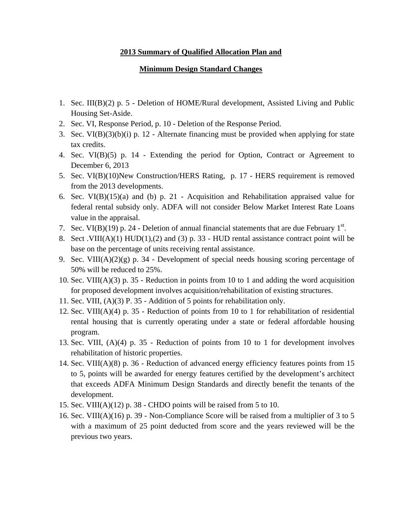## **2013 Summary of Qualified Allocation Plan and**

## **Minimum Design Standard Changes**

- 1. Sec. III(B)(2) p. 5 Deletion of HOME/Rural development, Assisted Living and Public Housing Set-Aside.
- 2. Sec. VI, Response Period, p. 10 Deletion of the Response Period.
- 3. Sec.  $VI(B)(3)(b)(i)$  p. 12 Alternate financing must be provided when applying for state tax credits.
- 4. Sec. VI(B)(5) p. 14 Extending the period for Option, Contract or Agreement to December 6, 2013
- 5. Sec. VI(B)(10)New Construction/HERS Rating, p. 17 HERS requirement is removed from the 2013 developments.
- 6. Sec.  $VI(B)(15)(a)$  and (b) p. 21 Acquisition and Rehabilitation appraised value for federal rental subsidy only. ADFA will not consider Below Market Interest Rate Loans value in the appraisal.
- 7. Sec. VI(B)(19) p. 24 Deletion of annual financial statements that are due February  $1<sup>st</sup>$ .
- 8. Sect .VIII(A)(1) HUD(1),(2) and (3) p. 33 HUD rental assistance contract point will be base on the percentage of units receiving rental assistance.
- 9. Sec. VIII( $A$ )(2)(g) p. 34 Development of special needs housing scoring percentage of 50% will be reduced to 25%.
- 10. Sec. VIII(A)(3) p. 35 Reduction in points from 10 to 1 and adding the word acquisition for proposed development involves acquisition/rehabilitation of existing structures.
- 11. Sec. VIII, (A)(3) P. 35 Addition of 5 points for rehabilitation only.
- 12. Sec. VIII(A)(4) p. 35 Reduction of points from 10 to 1 for rehabilitation of residential rental housing that is currently operating under a state or federal affordable housing program.
- 13. Sec. VIII, (A)(4) p. 35 Reduction of points from 10 to 1 for development involves rehabilitation of historic properties.
- 14. Sec. VIII(A)(8) p. 36 Reduction of advanced energy efficiency features points from 15 to 5, points will be awarded for energy features certified by the development's architect that exceeds ADFA Minimum Design Standards and directly benefit the tenants of the development.
- 15. Sec. VIII(A)(12) p. 38 CHDO points will be raised from 5 to 10.
- 16. Sec. VIII(A)(16) p. 39 Non-Compliance Score will be raised from a multiplier of 3 to 5 with a maximum of 25 point deducted from score and the years reviewed will be the previous two years.